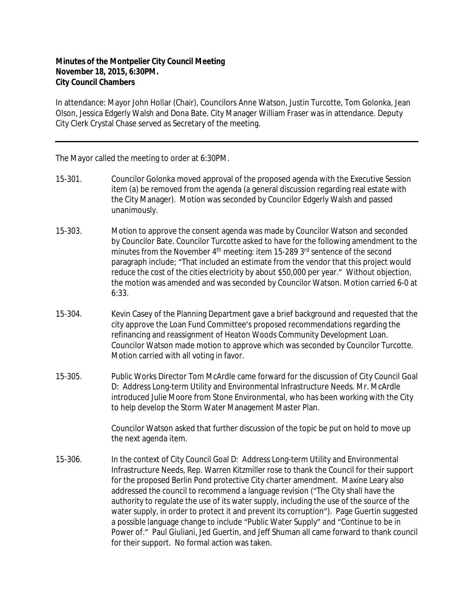## **Minutes of the Montpelier City Council Meeting November 18, 2015, 6:30PM. City Council Chambers**

In attendance: Mayor John Hollar (Chair), Councilors Anne Watson, Justin Turcotte, Tom Golonka, Jean Olson, Jessica Edgerly Walsh and Dona Bate. City Manager William Fraser was in attendance. Deputy City Clerk Crystal Chase served as Secretary of the meeting.

The Mayor called the meeting to order at 6:30PM.

- 15-301. Councilor Golonka moved approval of the proposed agenda with the Executive Session item (a) be removed from the agenda (a general discussion regarding real estate with the City Manager). Motion was seconded by Councilor Edgerly Walsh and passed unanimously.
- 15-303. Motion to approve the consent agenda was made by Councilor Watson and seconded by Councilor Bate. Councilor Turcotte asked to have for the following amendment to the minutes from the November 4<sup>th</sup> meeting: item 15-289 3<sup>rd</sup> sentence of the second paragraph include; "That included an estimate from the vendor that this project would reduce the cost of the cities electricity by about \$50,000 per year." Without objection, the motion was amended and was seconded by Councilor Watson. Motion carried 6-0 at 6:33.
- 15-304. Kevin Casey of the Planning Department gave a brief background and requested that the city approve the Loan Fund Committee's proposed recommendations regarding the refinancing and reassignment of Heaton Woods Community Development Loan. Councilor Watson made motion to approve which was seconded by Councilor Turcotte. Motion carried with all voting in favor.
- 15-305. Public Works Director Tom McArdle came forward for the discussion of City Council Goal D: Address Long-term Utility and Environmental Infrastructure Needs. Mr. McArdle introduced Julie Moore from Stone Environmental, who has been working with the City to help develop the Storm Water Management Master Plan.

Councilor Watson asked that further discussion of the topic be put on hold to move up the next agenda item.

15-306. In the context of City Council Goal D: Address Long-term Utility and Environmental Infrastructure Needs, Rep. Warren Kitzmiller rose to thank the Council for their support for the proposed Berlin Pond protective City charter amendment. Maxine Leary also addressed the council to recommend a language revision ("The City shall have the authority to regulate the use of its water supply, including the use of the source of the water supply, in order to protect it and prevent its corruption"). Page Guertin suggested a possible language change to include "Public Water Supply" and "Continue to be in Power of." Paul Giuliani, Jed Guertin, and Jeff Shuman all came forward to thank council for their support. No formal action was taken.